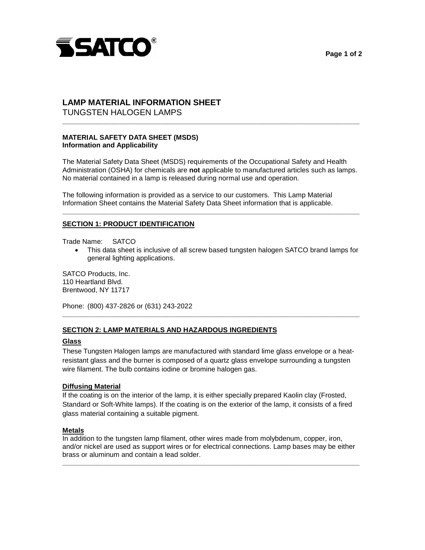



# TUNGSTEN HALOGEN LAMPS **LAMP MATERIAL INFORMATION SHEET**

## **MATERIAL SAFETY DATA SHEET (MSDS) Information and Applicability**

 The Material Safety Data Sheet (MSDS) requirements of the Occupational Safety and Health Administration (OSHA) for chemicals are **not** applicable to manufactured articles such as lamps. No material contained in a lamp is released during normal use and operation.

**\_\_\_\_\_\_\_\_\_\_\_\_\_\_\_\_\_\_\_\_\_\_\_\_\_\_\_\_\_\_\_\_\_\_\_\_\_\_\_\_\_\_\_\_\_\_\_\_\_\_\_\_\_\_\_\_\_\_\_\_\_\_\_\_\_\_\_\_\_\_\_\_\_\_\_\_\_** 

**\_\_\_\_\_\_\_\_\_\_\_\_\_\_\_\_\_\_\_\_\_\_\_\_\_\_\_\_\_\_\_\_\_\_\_\_\_\_\_\_\_\_\_\_\_\_\_\_\_\_\_\_\_\_\_\_\_\_\_\_\_\_\_\_\_\_\_\_\_\_\_\_\_\_\_\_\_** 

 The following information is provided as a service to our customers. This Lamp Material Information Sheet contains the Material Safety Data Sheet information that is applicable.

### **SECTION 1: PRODUCT IDENTIFICATION**

Trade Name: SATCO

• This data sheet is inclusive of all screw based tungsten halogen SATCO brand lamps for general lighting applications. SATCO Products, Inc.

110 Heartland Blvd. Brentwood, NY 11717

Phone: (800) 437-2826 or (631) 243-2022

### **SECTION 2: LAMP MATERIALS AND HAZARDOUS INGREDIENTS**

#### **Glass**

 resistant glass and the burner is composed of a quartz glass envelope surrounding a tungsten These Tungsten Halogen lamps are manufactured with standard lime glass envelope or a heatwire filament. The bulb contains iodine or bromine halogen gas.

**\_\_\_\_\_\_\_\_\_\_\_\_\_\_\_\_\_\_\_\_\_\_\_\_\_\_\_\_\_\_\_\_\_\_\_\_\_\_\_\_\_\_\_\_\_\_\_\_\_\_\_\_\_\_\_\_\_\_\_\_\_\_\_\_\_\_\_\_\_\_\_\_\_\_\_\_\_** 

#### **Diffusing Material**

 If the coating is on the interior of the lamp, it is either specially prepared Kaolin clay (Frosted, glass material containing a suitable pigment. Standard or Soft-White lamps). If the coating is on the exterior of the lamp, it consists of a fired

#### **Metals**

In addition to the tungsten lamp filament, other wires made from molybdenum, copper, iron, and/or nickel are used as support wires or for electrical connections. Lamp bases may be either brass or aluminum and contain a lead solder.

**\_\_\_\_\_\_\_\_\_\_\_\_\_\_\_\_\_\_\_\_\_\_\_\_\_\_\_\_\_\_\_\_\_\_\_\_\_\_\_\_\_\_\_\_\_\_\_\_\_\_\_\_\_\_\_\_\_\_\_\_\_\_\_\_\_\_\_\_\_\_\_\_\_\_\_\_\_**